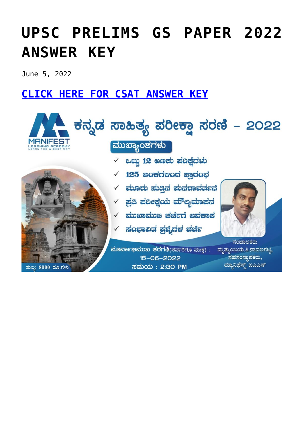# **[UPSC PRELIMS GS PAPER 2022](https://journalsofindia.com/answer-key-upsc-answer-key-prelims-2022/) [ANSWER KEY](https://journalsofindia.com/answer-key-upsc-answer-key-prelims-2022/)**

June 5, 2022

### **[CLICK HERE FOR CSAT ANSWER KEY](https://journalsofindia.com/wp-content/uploads/2022/06/CSP-2022-CSAT-paper-Ans-Key-final-16-6-2022.pdf)**

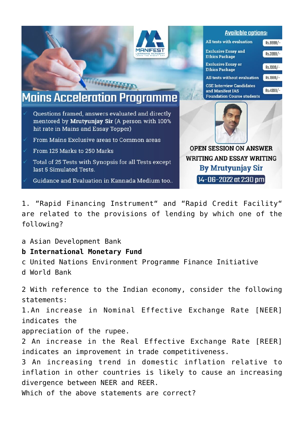

1. "Rapid Financing Instrument" and "Rapid Credit Facility" are related to the provisions of lending by which one of the following?

a Asian Development Bank

#### **b International Monetary Fund**

c United Nations Environment Programme Finance Initiative d World Bank

2 With reference to the Indian economy, consider the following statements: 1.An increase in Nominal Effective Exchange Rate [NEER] indicates the appreciation of the rupee. 2 An increase in the Real Effective Exchange Rate [REER] indicates an improvement in trade competitiveness. 3 An increasing trend in domestic inflation relative to inflation in other countries is likely to cause an increasing divergence between NEER and REER. Which of the above statements are correct?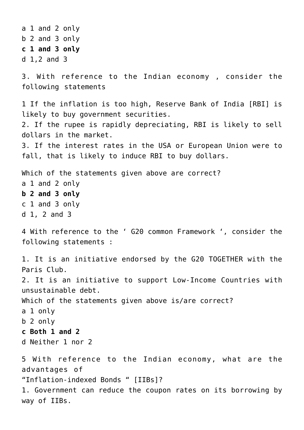a 1 and 2 only b 2 and 3 only **c 1 and 3 only** d 1,2 and 3 3. With reference to the Indian economy , consider the following statements 1 If the inflation is too high, Reserve Bank of India [RBI] is likely to buy government securities. 2. If the rupee is rapidly depreciating, RBI is likely to sell dollars in the market. 3. If the interest rates in the USA or European Union were to fall, that is likely to induce RBI to buy dollars. Which of the statements given above are correct? a 1 and 2 only **b 2 and 3 only** c 1 and 3 only d 1, 2 and 3 4 With reference to the ' G20 common Framework ', consider the following statements : 1. It is an initiative endorsed by the G20 TOGETHER with the Paris Club. 2. It is an initiative to support Low-Income Countries with unsustainable debt. Which of the statements given above is/are correct? a 1 only b 2 only **c Both 1 and 2** d Neither 1 nor 2 5 With reference to the Indian economy, what are the advantages of "Inflation-indexed Bonds " [IIBs]? 1. Government can reduce the coupon rates on its borrowing by way of IIBs.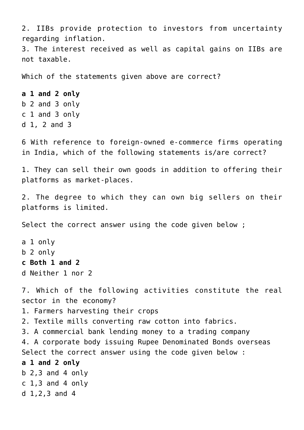2. IIBs provide protection to investors from uncertainty regarding inflation.

3. The interest received as well as capital gains on IIBs are not taxable.

Which of the statements given above are correct?

**a 1 and 2 only** b 2 and 3 only c 1 and 3 only d 1, 2 and 3

6 With reference to foreign-owned e-commerce firms operating in India, which of the following statements is/are correct?

1. They can sell their own goods in addition to offering their platforms as market-places.

2. The degree to which they can own big sellers on their platforms is limited.

Select the correct answer using the code given below ;

```
a 1 only
b 2 only
c Both 1 and 2
d Neither 1 nor 2
```
7. Which of the following activities constitute the real sector in the economy?

1. Farmers harvesting their crops

2. Textile mills converting raw cotton into fabrics.

3. A commercial bank lending money to a trading company

4. A corporate body issuing Rupee Denominated Bonds overseas

Select the correct answer using the code given below :

**a 1 and 2 only**

 $b$  2,3 and 4 only c 1,3 and 4 only d 1,2,3 and 4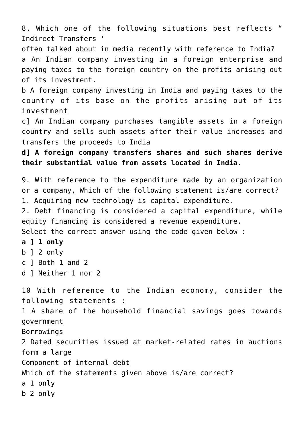8. Which one of the following situations best reflects " Indirect Transfers '

often talked about in media recently with reference to India? a An Indian company investing in a foreign enterprise and paying taxes to the foreign country on the profits arising out of its investment.

b A foreign company investing in India and paying taxes to the country of its base on the profits arising out of its investment

c] An Indian company purchases tangible assets in a foreign country and sells such assets after their value increases and transfers the proceeds to India

**d] A foreign company transfers shares and such shares derive their substantial value from assets located in India.**

9. With reference to the expenditure made by an organization or a company, Which of the following statement is/are correct? 1. Acquiring new technology is capital expenditure.

2. Debt financing is considered a capital expenditure, while equity financing is considered a revenue expenditure.

Select the correct answer using the code given below :

#### **a ] 1 only**

- b ] 2 only
- c ] Both 1 and 2
- d ] Neither 1 nor 2

10 With reference to the Indian economy, consider the following statements : 1 A share of the household financial savings goes towards government

Borrowings

2 Dated securities issued at market-related rates in auctions form a large

Component of internal debt

Which of the statements given above is/are correct?

a 1 only

b 2 only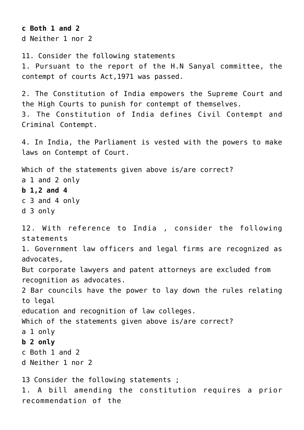**c Both 1 and 2** d Neither 1 nor 2

11. Consider the following statements 1. Pursuant to the report of the H.N Sanyal committee, the contempt of courts Act,1971 was passed.

2. The Constitution of India empowers the Supreme Court and the High Courts to punish for contempt of themselves. 3. The Constitution of India defines Civil Contempt and Criminal Contempt.

4. In India, the Parliament is vested with the powers to make laws on Contempt of Court.

Which of the statements given above is/are correct? a 1 and 2 only **b 1,2 and 4** c 3 and 4 only d 3 only 12. With reference to India , consider the following statements 1. Government law officers and legal firms are recognized as

But corporate lawyers and patent attorneys are excluded from recognition as advocates.

2 Bar councils have the power to lay down the rules relating to legal

education and recognition of law colleges.

Which of the statements given above is/are correct?

a 1 only

advocates,

**b 2 only**

c Both 1 and 2

d Neither 1 nor 2

13 Consider the following statements ; 1. A bill amending the constitution requires a prior recommendation of the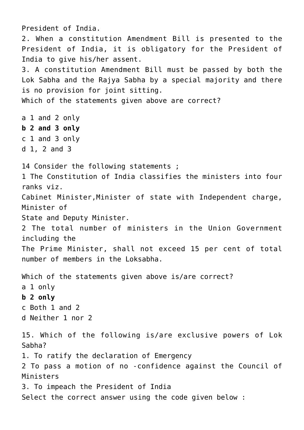President of India. 2. When a constitution Amendment Bill is presented to the President of India, it is obligatory for the President of India to give his/her assent. 3. A constitution Amendment Bill must be passed by both the Lok Sabha and the Rajya Sabha by a special majority and there is no provision for joint sitting. Which of the statements given above are correct? a 1 and 2 only **b 2 and 3 only** c 1 and 3 only d 1, 2 and 3 14 Consider the following statements ; 1 The Constitution of India classifies the ministers into four ranks viz. Cabinet Minister,Minister of state with Independent charge, Minister of State and Deputy Minister. 2 The total number of ministers in the Union Government including the The Prime Minister, shall not exceed 15 per cent of total number of members in the Loksabha. Which of the statements given above is/are correct? a 1 only **b 2 only** c Both 1 and 2 d Neither 1 nor 2 15. Which of the following is/are exclusive powers of Lok Sabha? 1. To ratify the declaration of Emergency 2 To pass a motion of no -confidence against the Council of Ministers 3. To impeach the President of India Select the correct answer using the code given below :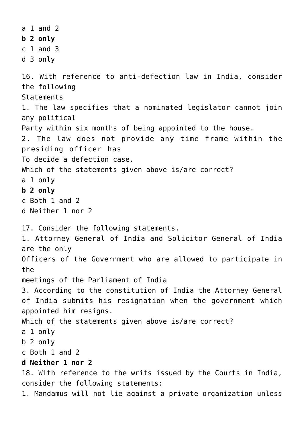a 1 and 2 **b 2 only** c 1 and 3 d 3 only 16. With reference to anti-defection law in India, consider the following **Statements** 1. The law specifies that a nominated legislator cannot join any political Party within six months of being appointed to the house. 2. The law does not provide any time frame within the presiding officer has To decide a defection case. Which of the statements given above is/are correct? a 1 only **b 2 only** c Both 1 and 2 d Neither 1 nor 2 17. Consider the following statements. 1. Attorney General of India and Solicitor General of India are the only Officers of the Government who are allowed to participate in the meetings of the Parliament of India 3. According to the constitution of India the Attorney General of India submits his resignation when the government which appointed him resigns. Which of the statements given above is/are correct? a 1 only b 2 only c Both 1 and 2 **d Neither 1 nor 2** 18. With reference to the writs issued by the Courts in India, consider the following statements: 1. Mandamus will not lie against a private organization unless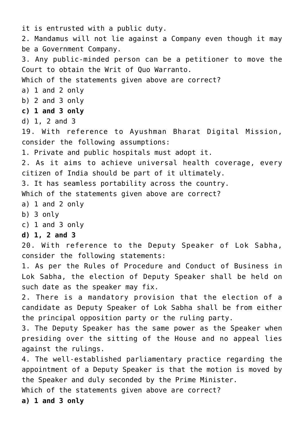it is entrusted with a public duty. 2. Mandamus will not lie against a Company even though it may be a Government Company. 3. Any public-minded person can be a petitioner to move the Court to obtain the Writ of Quo Warranto. Which of the statements given above are correct? a) 1 and 2 only b) 2 and 3 only **c) 1 and 3 only** d) 1, 2 and 3 19. With reference to Ayushman Bharat Digital Mission, consider the following assumptions: 1. Private and public hospitals must adopt it. 2. As it aims to achieve universal health coverage, every citizen of India should be part of it ultimately. 3. It has seamless portability across the country. Which of the statements given above are correct? a) 1 and 2 only b) 3 only c) 1 and 3 only **d) 1, 2 and 3** 20. With reference to the Deputy Speaker of Lok Sabha, consider the following statements: 1. As per the Rules of Procedure and Conduct of Business in Lok Sabha, the election of Deputy Speaker shall be held on such date as the speaker may fix. 2. There is a mandatory provision that the election of a candidate as Deputy Speaker of Lok Sabha shall be from either the principal opposition party or the ruling party. 3. The Deputy Speaker has the same power as the Speaker when presiding over the sitting of the House and no appeal lies against the rulings. 4. The well-established parliamentary practice regarding the appointment of a Deputy Speaker is that the motion is moved by the Speaker and duly seconded by the Prime Minister. Which of the statements given above are correct? **a) 1 and 3 only**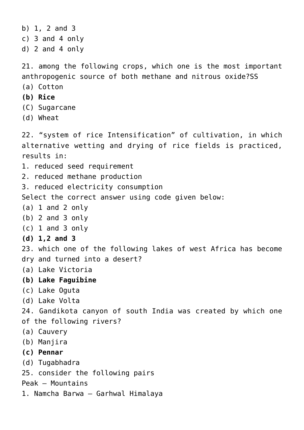```
b) 1, 2 and 3
c) 3 and 4 only
d) 2 and 4 only
21. among the following crops, which one is the most important
anthropogenic source of both methane and nitrous oxide?SS
(a) Cotton
(b) Rice
(C) Sugarcane
(d) Wheat
22. "system of rice Intensification" of cultivation, in which
alternative wetting and drying of rice fields is practiced,
results in:
1. reduced seed requirement
2. reduced methane production
3. reduced electricity consumption
Select the correct answer using code given below:
(a) 1 and 2 only
(b) 2 and 3 only
(c) 1 and 3 only
(d) 1,2 and 3
23. which one of the following lakes of west Africa has become
dry and turned into a desert?
(a) Lake Victoria
(b) Lake Faguibine
(c) Lake Oguta
(d) Lake Volta
24. Gandikota canyon of south India was created by which one
of the following rivers?
(a) Cauvery
(b) Manjira
(c) Pennar
(d) Tugabhadra
25. consider the following pairs
Peak – Mountains
1. Namcha Barwa – Garhwal Himalaya
```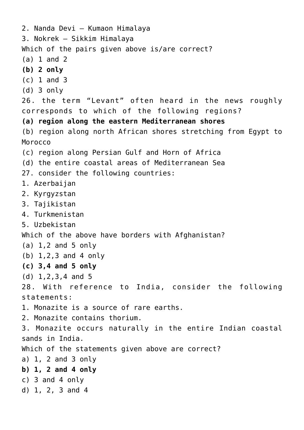2. Nanda Devi – Kumaon Himalaya 3. Nokrek – Sikkim Himalaya Which of the pairs given above is/are correct? (a) 1 and 2 **(b) 2 only** (c) 1 and 3 (d) 3 only 26. the term "Levant" often heard in the news roughly corresponds to which of the following regions? **(a) region along the eastern Mediterranean shores** (b) region along north African shores stretching from Egypt to Morocco (c) region along Persian Gulf and Horn of Africa (d) the entire coastal areas of Mediterranean Sea 27. consider the following countries: 1. Azerbaijan 2. Kyrgyzstan 3. Tajikistan 4. Turkmenistan 5. Uzbekistan Which of the above have borders with Afghanistan? (a) 1,2 and 5 only (b) 1,2,3 and 4 only **(c) 3,4 and 5 only** (d) 1,2,3,4 and 5 28. With reference to India, consider the following statements: 1. Monazite is a source of rare earths. 2. Monazite contains thorium. 3. Monazite occurs naturally in the entire Indian coastal sands in India. Which of the statements given above are correct? a) 1, 2 and 3 only **b) 1, 2 and 4 only** c) 3 and 4 only d) 1, 2, 3 and 4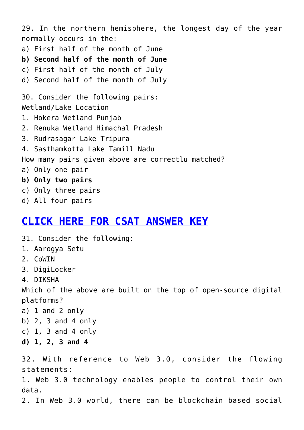29. In the northern hemisphere, the longest day of the year normally occurs in the: a) First half of the month of June **b) Second half of the month of June** c) First half of the month of July d) Second half of the month of July 30. Consider the following pairs: Wetland/Lake Location 1. Hokera Wetland Punjab 2. Renuka Wetland Himachal Pradesh 3. Rudrasagar Lake Tripura 4. Sasthamkotta Lake Tamill Nadu How many pairs given above are correctlu matched? a) Only one pair **b) Only two pairs** c) Only three pairs d) All four pairs

#### **[CLICK HERE FOR CSAT ANSWER KEY](https://journalsofindia.com/wp-content/uploads/2022/06/CSP-2022-CSAT-paper-Ans-Key-final-16-6-2022.pdf)**

31. Consider the following: 1. Aarogya Setu 2. CoWIN 3. DigiLocker 4. DIKSHA Which of the above are built on the top of open-source digital platforms? a) 1 and 2 only b) 2, 3 and 4 only c)  $1, 3$  and  $4$  only **d) 1, 2, 3 and 4** 32. With reference to Web 3.0, consider the flowing statements: 1. Web 3.0 technology enables people to control their own data. 2. In Web 3.0 world, there can be blockchain based social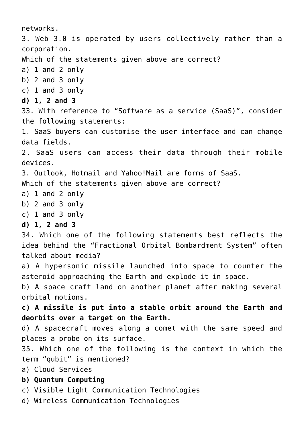networks. 3. Web 3.0 is operated by users collectively rather than a corporation. Which of the statements given above are correct? a) 1 and 2 only b) 2 and 3 only c) 1 and 3 only **d) 1, 2 and 3** 33. With reference to "Software as a service (SaaS)", consider the following statements: 1. SaaS buyers can customise the user interface and can change data fields. 2. SaaS users can access their data through their mobile devices. 3. Outlook, Hotmail and Yahoo!Mail are forms of SaaS. Which of the statements given above are correct? a) 1 and 2 only b) 2 and 3 only c) 1 and 3 only **d) 1, 2 and 3** 34. Which one of the following statements best reflects the idea behind the "Fractional Orbital Bombardment System" often talked about media? a) A hypersonic missile launched into space to counter the asteroid approaching the Earth and explode it in space. b) A space craft land on another planet after making several orbital motions. **c) A missile is put into a stable orbit around the Earth and deorbits over a target on the Earth.** d) A spacecraft moves along a comet with the same speed and places a probe on its surface. 35. Which one of the following is the context in which the term "qubit" is mentioned? a) Cloud Services **b) Quantum Computing** c) Visible Light Communication Technologies d) Wireless Communication Technologies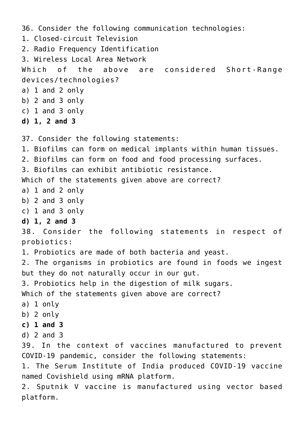```
36. Consider the following communication technologies:
1. Closed-circuit Television
2. Radio Frequency Identification
3. Wireless Local Area Network
Which of the above are considered Short-Range
devices/technologies?
a) 1 and 2 only
b) 2 and 3 only
c) 1 and 3 only
d) 1, 2 and 3
37. Consider the following statements:
1. Biofilms can form on medical implants within human tissues.
2. Biofilms can form on food and food processing surfaces.
3. Biofilms can exhibit antibiotic resistance.
Which of the statements given above are correct?
a) 1 and 2 only
b) 2 and 3 only
c) 1 and 3 only
d) 1, 2 and 3
38. Consider the following statements in respect of
probiotics:
1. Probiotics are made of both bacteria and yeast.
2. The organisms in probiotics are found in foods we ingest
but they do not naturally occur in our gut.
3. Probiotics help in the digestion of milk sugars.
Which of the statements given above are correct?
a) 1 only
b) 2 only
c) 1 and 3
d) 2 and 3
39. In the context of vaccines manufactured to prevent
COVID-19 pandemic, consider the following statements:
1. The Serum Institute of India produced COVID-19 vaccine
named Covishield using mRNA platform.
2. Sputnik V vaccine is manufactured using vector based
platform.
```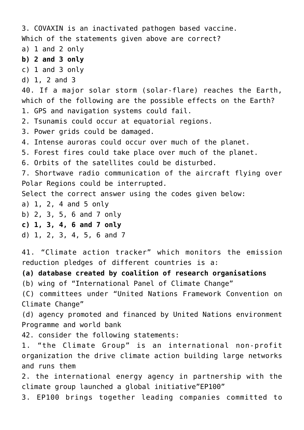3. COVAXIN is an inactivated pathogen based vaccine. Which of the statements given above are correct? a) 1 and 2 only **b) 2 and 3 only** c) 1 and 3 only d) 1, 2 and 3 40. If a major solar storm (solar-flare) reaches the Earth, which of the following are the possible effects on the Earth? 1. GPS and navigation systems could fail. 2. Tsunamis could occur at equatorial regions. 3. Power grids could be damaged. 4. Intense auroras could occur over much of the planet. 5. Forest fires could take place over much of the planet. 6. Orbits of the satellites could be disturbed. 7. Shortwave radio communication of the aircraft flying over Polar Regions could be interrupted. Select the correct answer using the codes given below: a) 1, 2, 4 and 5 only b) 2, 3, 5, 6 and 7 only **c) 1, 3, 4, 6 and 7 only** d) 1, 2, 3, 4, 5, 6 and 7 41. "Climate action tracker" which monitors the emission reduction pledges of different countries is a: **(a) database created by coalition of research organisations** (b) wing of "International Panel of Climate Change" (C) committees under "United Nations Framework Convention on Climate Change" (d) agency promoted and financed by United Nations environment Programme and world bank 42. consider the following statements: 1. "the Climate Group" is an international non-profit organization the drive climate action building large networks and runs them 2. the international energy agency in partnership with the climate group launched a global initiative"EP100" 3. EP100 brings together leading companies committed to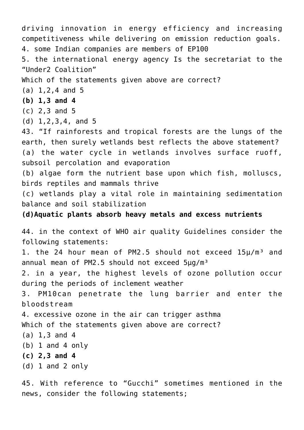driving innovation in energy efficiency and increasing competitiveness while delivering on emission reduction goals. 4. some Indian companies are members of EP100 5. the international energy agency Is the secretariat to the "Under2 Coalition" Which of the statements given above are correct? (a) 1,2,4 and 5 **(b) 1,3 and 4** (c) 2,3 and 5 (d) 1,2,3,4, and 5 43. "If rainforests and tropical forests are the lungs of the earth, then surely wetlands best reflects the above statement? (a) the water cycle in wetlands involves surface ruoff, subsoil percolation and evaporation (b) algae form the nutrient base upon which fish, molluscs, birds reptiles and mammals thrive (c) wetlands play a vital role in maintaining sedimentation balance and soil stabilization **(d)Aquatic plants absorb heavy metals and excess nutrients** 44. in the context of WHO air quality Guidelines consider the following statements: 1. the 24 hour mean of PM2.5 should not exceed 15µ/m<sup>3</sup> and annual mean of PM2.5 should not exceed  $5\mu q/m^3$ 2. in a year, the highest levels of ozone pollution occur during the periods of inclement weather 3. PM10can penetrate the lung barrier and enter the bloodstream 4. excessive ozone in the air can trigger asthma Which of the statements given above are correct? (a) 1,3 and 4 (b) 1 and 4 only **(c) 2,3 and 4** (d) 1 and 2 only

45. With reference to "Gucchi" sometimes mentioned in the news, consider the following statements;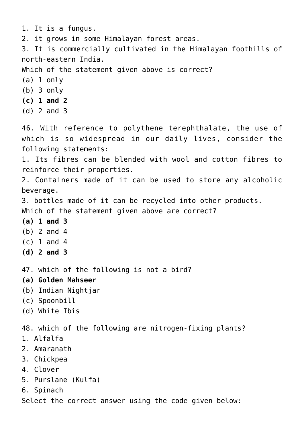1. It is a fungus.

2. it grows in some Himalayan forest areas.

3. It is commercially cultivated in the Himalayan foothills of north-eastern India.

Which of the statement given above is correct?

- (a) 1 only
- (b) 3 only
- **(c) 1 and 2**
- (d) 2 and 3

46. With reference to polythene terephthalate, the use of which is so widespread in our daily lives, consider the following statements:

1. Its fibres can be blended with wool and cotton fibres to reinforce their properties.

2. Containers made of it can be used to store any alcoholic beverage.

3. bottles made of it can be recycled into other products.

Which of the statement given above are correct?

- **(a) 1 and 3**
- (b) 2 and 4
- (c) 1 and 4
- **(d) 2 and 3**

47. which of the following is not a bird?

- **(a) Golden Mahseer**
- (b) Indian Nightjar
- (c) Spoonbill
- (d) White Ibis

48. which of the following are nitrogen-fixing plants?

- 1. Alfalfa
- 2. Amaranath
- 3. Chickpea
- 4. Clover
- 5. Purslane (Kulfa)
- 6. Spinach

Select the correct answer using the code given below: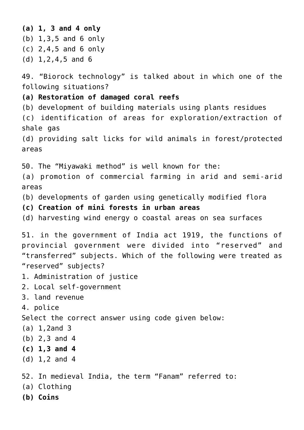**(a) 1, 3 and 4 only** (b) 1,3,5 and 6 only (c) 2,4,5 and 6 only (d) 1,2,4,5 and 6 49. "Biorock technology" is talked about in which one of the following situations? **(a) Restoration of damaged coral reefs** (b) development of building materials using plants residues (c) identification of areas for exploration/extraction of shale gas (d) providing salt licks for wild animals in forest/protected areas 50. The "Miyawaki method" is well known for the: (a) promotion of commercial farming in arid and semi-arid areas (b) developments of garden using genetically modified flora **(c) Creation of mini forests in urban areas** (d) harvesting wind energy o coastal areas on sea surfaces 51. in the government of India act 1919, the functions of provincial government were divided into "reserved" and "transferred" subjects. Which of the following were treated as "reserved" subjects? 1. Administration of justice 2. Local self-government 3. land revenue 4. police Select the correct answer using code given below: (a) 1,2and 3 (b) 2,3 and 4 **(c) 1,3 and 4** (d) 1,2 and 4 52. In medieval India, the term "Fanam" referred to: (a) Clothing **(b) Coins**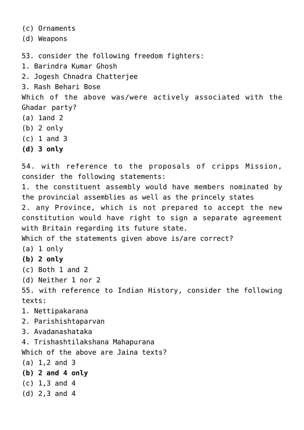(c) Ornaments

(d) Weapons

53. consider the following freedom fighters:

1. Barindra Kumar Ghosh

2. Jogesh Chnadra Chatterjee

3. Rash Behari Bose

Which of the above was/were actively associated with the Ghadar party?

- (a) 1and 2
- (b) 2 only
- (c) 1 and 3
- **(d) 3 only**

54. with reference to the proposals of cripps Mission, consider the following statements:

1. the constituent assembly would have members nominated by the provincial assemblies as well as the princely states

2. any Province, which is not prepared to accept the new constitution would have right to sign a separate agreement with Britain regarding its future state.

Which of the statements given above is/are correct?

- (a) 1 only
- **(b) 2 only**
- (c) Both 1 and 2
- (d) Neither 1 nor 2

55. with reference to Indian History, consider the following texts:

- 1. Nettipakarana
- 2. Parishishtaparvan
- 3. Avadanashataka

4. Trishashtilakshana Mahapurana

Which of the above are Jaina texts?

- (a) 1,2 and 3
- **(b) 2 and 4 only**
- (c) 1,3 and 4
- (d) 2,3 and 4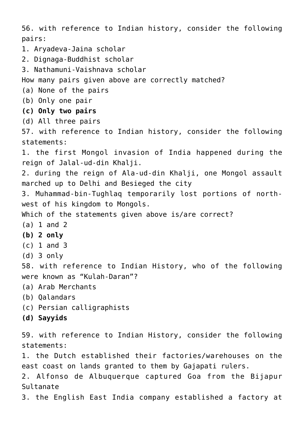56. with reference to Indian history, consider the following pairs: 1. Aryadeva-Jaina scholar 2. Dignaga-Buddhist scholar 3. Nathamuni-Vaishnava scholar How many pairs given above are correctly matched? (a) None of the pairs (b) Only one pair **(c) Only two pairs** (d) All three pairs 57. with reference to Indian history, consider the following statements: 1. the first Mongol invasion of India happened during the reign of Jalal-ud-din Khalji. 2. during the reign of Ala-ud-din Khalji, one Mongol assault marched up to Delhi and Besieged the city 3. Muhammad-bin-Tughlaq temporarily lost portions of northwest of his kingdom to Mongols. Which of the statements given above is/are correct? (a) 1 and 2 **(b) 2 only** (c) 1 and 3 (d) 3 only 58. with reference to Indian History, who of the following were known as "Kulah-Daran"? (a) Arab Merchants (b) Qalandars (c) Persian calligraphists **(d) Sayyids** 59. with reference to Indian History, consider the following statements: 1. the Dutch established their factories/warehouses on the east coast on lands granted to them by Gajapati rulers. 2. Alfonso de Albuquerque captured Goa from the Bijapur Sultanate

3. the English East India company established a factory at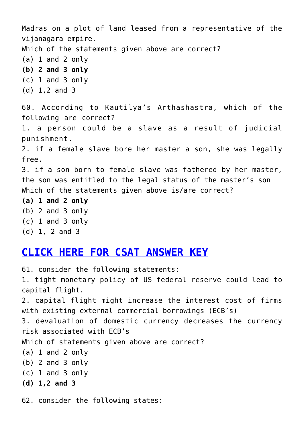Madras on a plot of land leased from a representative of the vijanagara empire. Which of the statements given above are correct? (a) 1 and 2 only **(b) 2 and 3 only** (c) 1 and 3 only (d) 1,2 and 3 60. According to Kautilya's Arthashastra, which of the following are correct? 1. a person could be a slave as a result of judicial punishment. 2. if a female slave bore her master a son, she was legally free. 3. if a son born to female slave was fathered by her master, the son was entitled to the legal status of the master's son Which of the statements given above is/are correct? **(a) 1 and 2 only** (b) 2 and 3 only (c) 1 and 3 only (d) 1, 2 and 3

### **[CLICK HERE FOR CSAT ANSWER KEY](https://journalsofindia.com/wp-content/uploads/2022/06/CSP-2022-CSAT-paper-Ans-Key-final-16-6-2022.pdf)**

61. consider the following statements: 1. tight monetary policy of US federal reserve could lead to capital flight. 2. capital flight might increase the interest cost of firms with existing external commercial borrowings (ECB's) 3. devaluation of domestic currency decreases the currency risk associated with ECB's Which of statements given above are correct? (a) 1 and 2 only (b) 2 and 3 only (c) 1 and 3 only **(d) 1,2 and 3** 62. consider the following states: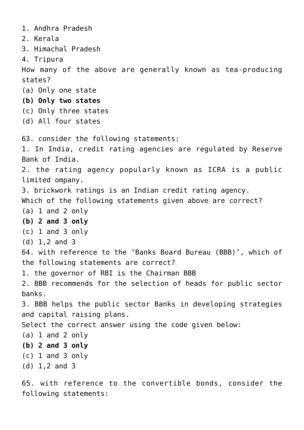1. Andhra Pradesh 2. Kerala 3. Himachal Pradesh 4. Tripura How many of the above are generally known as tea-producing states? (a) Only one state **(b) Only two states** (c) Only three states (d) All four states 63. consider the following statements: 1. In India, credit rating agencies are regulated by Reserve Bank of India. 2. the rating agency popularly known as ICRA is a public limited ompany. 3. brickwork ratings is an Indian credit rating agency. Which of the following statements given above are correct? (a) 1 and 2 only **(b) 2 and 3 only** (c) 1 and 3 only (d) 1,2 and 3 64. with reference to the 'Banks Board Bureau (BBB)', which of the following statements are correct? 1. the governor of RBI is the Chairman BBB 2. BBB recommends for the selection of heads for public sector banks. 3. BBB helps the public sector Banks in developing strategies and capital raising plans. Select the correct answer using the code given below: (a) 1 and 2 only **(b) 2 and 3 only** (c) 1 and 3 only (d) 1,2 and 3

65. with reference to the convertible bonds, consider the following statements: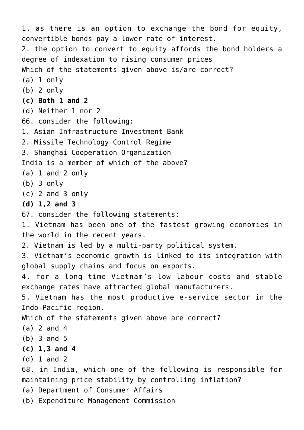1. as there is an option to exchange the bond for equity, convertible bonds pay a lower rate of interest. 2. the option to convert to equity affords the bond holders a degree of indexation to rising consumer prices Which of the statements given above is/are correct? (a) 1 only (b) 2 only **(c) Both 1 and 2** (d) Neither 1 nor 2 66. consider the following: 1. Asian Infrastructure Investment Bank 2. Missile Technology Control Regime 3. Shanghai Cooperation Organization India is a member of which of the above? (a) 1 and 2 only (b) 3 only (c) 2 and 3 only **(d) 1,2 and 3** 67. consider the following statements: 1. Vietnam has been one of the fastest growing economies in the world in the recent years. 2. Vietnam is led by a multi-party political system. 3. Vietnam's economic growth is linked to its integration with global supply chains and focus on exports. 4. for a long time Vietnam's low labour costs and stable exchange rates have attracted global manufacturers. 5. Vietnam has the most productive e-service sector in the Indo-Pacific region. Which of the statements given above are correct? (a) 2 and 4 (b) 3 and 5 **(c) 1,3 and 4** (d) 1 and 2 68. in India, which one of the following is responsible for maintaining price stability by controlling inflation? (a) Department of Consumer Affairs (b) Expenditure Management Commission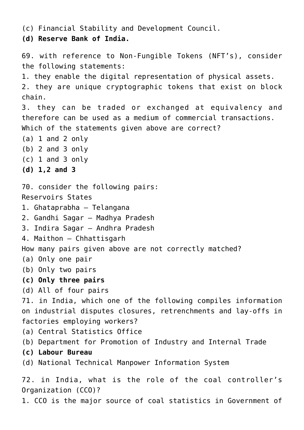(c) Financial Stability and Development Council.

**(d) Reserve Bank of India.**

69. with reference to Non-Fungible Tokens (NFT's), consider the following statements: 1. they enable the digital representation of physical assets. 2. they are unique cryptographic tokens that exist on block chain. 3. they can be traded or exchanged at equivalency and therefore can be used as a medium of commercial transactions. Which of the statements given above are correct? (a) 1 and 2 only (b) 2 and 3 only (c) 1 and 3 only **(d) 1,2 and 3** 70. consider the following pairs: Reservoirs States 1. Ghataprabha – Telangana 2. Gandhi Sagar – Madhya Pradesh 3. Indira Sagar – Andhra Pradesh 4. Maithon – Chhattisgarh How many pairs given above are not correctly matched? (a) Only one pair (b) Only two pairs **(c) Only three pairs** (d) All of four pairs 71. in India, which one of the following compiles information on industrial disputes closures, retrenchments and lay-offs in factories employing workers? (a) Central Statistics Office (b) Department for Promotion of Industry and Internal Trade **(c) Labour Bureau** (d) National Technical Manpower Information System 72. in India, what is the role of the coal controller's Organization (CCO)?

1. CCO is the major source of coal statistics in Government of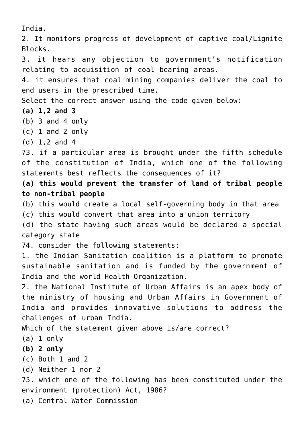India.

2. It monitors progress of development of captive coal/Lignite Blocks. 3. it hears any objection to government's notification relating to acquisition of coal bearing areas. 4. it ensures that coal mining companies deliver the coal to end users in the prescribed time. Select the correct answer using the code given below: **(a) 1,2 and 3** (b) 3 and 4 only (c) 1 and 2 only (d) 1,2 and 4 73. if a particular area is brought under the fifth schedule of the constitution of India, which one of the following statements best reflects the consequences of it? **(a) this would prevent the transfer of land of tribal people to non-tribal people** (b) this would create a local self-governing body in that area (c) this would convert that area into a union territory (d) the state having such areas would be declared a special category state 74. consider the following statements: 1. the Indian Sanitation coalition is a platform to promote sustainable sanitation and is funded by the government of India and the world Health Organization. 2. the National Institute of Urban Affairs is an apex body of the ministry of housing and Urban Affairs in Government of India and provides innovative solutions to address the challenges of urban India. Which of the statement given above is/are correct? (a) 1 only **(b) 2 only** (c) Both 1 and 2 (d) Neither 1 nor 2 75. which one of the following has been constituted under the environment (protection) Act, 1986? (a) Central Water Commission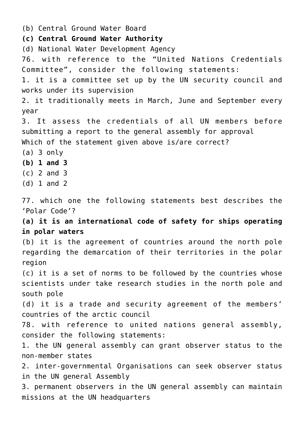(b) Central Ground Water Board **(c) Central Ground Water Authority** (d) National Water Development Agency 76. with reference to the "United Nations Credentials Committee", consider the following statements: 1. it is a committee set up by the UN security council and works under its supervision 2. it traditionally meets in March, June and September every year 3. It assess the credentials of all UN members before submitting a report to the general assembly for approval Which of the statement given above is/are correct? (a) 3 only **(b) 1 and 3** (c) 2 and 3 (d) 1 and 2 77. which one the following statements best describes the 'Polar Code'? **(a) it is an international code of safety for ships operating in polar waters** (b) it is the agreement of countries around the north pole regarding the demarcation of their territories in the polar region (c) it is a set of norms to be followed by the countries whose scientists under take research studies in the north pole and south pole (d) it is a trade and security agreement of the members' countries of the arctic council 78. with reference to united nations general assembly, consider the following statements: 1. the UN general assembly can grant observer status to the non-member states 2. inter-governmental Organisations can seek observer status in the UN general Assembly 3. permanent observers in the UN general assembly can maintain missions at the UN headquarters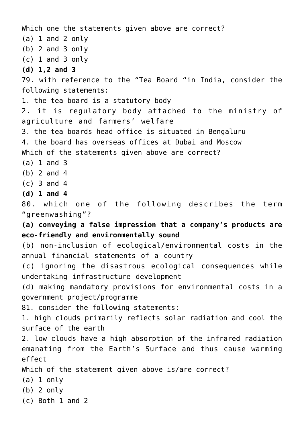Which one the statements given above are correct? (a) 1 and 2 only (b) 2 and 3 only (c) 1 and 3 only **(d) 1,2 and 3** 79. with reference to the "Tea Board "in India, consider the following statements: 1. the tea board is a statutory body 2. it is regulatory body attached to the ministry of agriculture and farmers' welfare 3. the tea boards head office is situated in Bengaluru 4. the board has overseas offices at Dubai and Moscow Which of the statements given above are correct? (a) 1 and 3 (b) 2 and 4 (c) 3 and 4 **(d) 1 and 4** 80. which one of the following describes the term "greenwashing"? **(a) conveying a false impression that a company's products are eco-friendly and environmentally sound** (b) non-inclusion of ecological/environmental costs in the annual financial statements of a country (c) ignoring the disastrous ecological consequences while undertaking infrastructure development (d) making mandatory provisions for environmental costs in a government project/programme 81. consider the following statements: 1. high clouds primarily reflects solar radiation and cool the surface of the earth 2. low clouds have a high absorption of the infrared radiation emanating from the Earth's Surface and thus cause warming effect Which of the statement given above is/are correct? (a) 1 only (b) 2 only (c) Both 1 and 2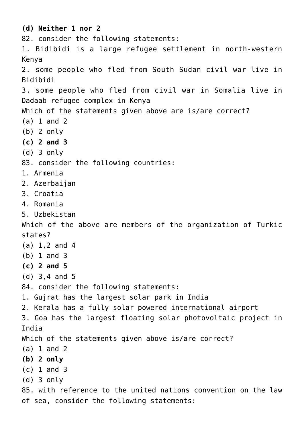**(d) Neither 1 nor 2** 82. consider the following statements: 1. Bidibidi is a large refugee settlement in north-western Kenya 2. some people who fled from South Sudan civil war live in Bidibidi 3. some people who fled from civil war in Somalia live in Dadaab refugee complex in Kenya Which of the statements given above are is/are correct? (a) 1 and 2 (b) 2 only **(c) 2 and 3** (d) 3 only 83. consider the following countries: 1. Armenia 2. Azerbaijan 3. Croatia 4. Romania 5. Uzbekistan Which of the above are members of the organization of Turkic states? (a) 1,2 and 4 (b) 1 and 3 **(c) 2 and 5** (d) 3,4 and 5 84. consider the following statements: 1. Gujrat has the largest solar park in India 2. Kerala has a fully solar powered international airport 3. Goa has the largest floating solar photovoltaic project in India Which of the statements given above is/are correct? (a) 1 and 2 **(b) 2 only** (c) 1 and 3 (d) 3 only 85. with reference to the united nations convention on the law

of sea, consider the following statements: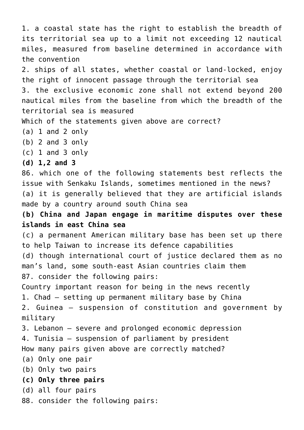1. a coastal state has the right to establish the breadth of its territorial sea up to a limit not exceeding 12 nautical miles, measured from baseline determined in accordance with the convention 2. ships of all states, whether coastal or land-locked, enjoy the right of innocent passage through the territorial sea 3. the exclusive economic zone shall not extend beyond 200 nautical miles from the baseline from which the breadth of the territorial sea is measured Which of the statements given above are correct? (a) 1 and 2 only (b) 2 and 3 only (c) 1 and 3 only **(d) 1,2 and 3** 86. which one of the following statements best reflects the issue with Senkaku Islands, sometimes mentioned in the news? (a) it is generally believed that they are artificial islands made by a country around south China sea **(b) China and Japan engage in maritime disputes over these islands in east China sea** (c) a permanent American military base has been set up there to help Taiwan to increase its defence capabilities (d) though international court of justice declared them as no man's land, some south-east Asian countries claim them 87. consider the following pairs: Country important reason for being in the news recently 1. Chad – setting up permanent military base by China 2. Guinea – suspension of constitution and government by military 3. Lebanon – severe and prolonged economic depression 4. Tunisia – suspension of parliament by president How many pairs given above are correctly matched? (a) Only one pair (b) Only two pairs **(c) Only three pairs** (d) all four pairs 88. consider the following pairs: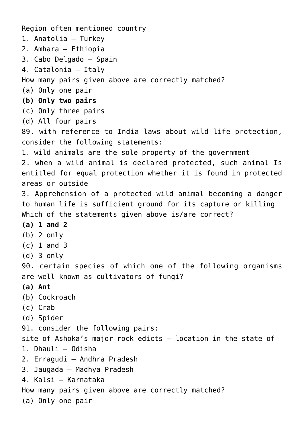Region often mentioned country 1. Anatolia – Turkey 2. Amhara – Ethiopia 3. Cabo Delgado – Spain 4. Catalonia – Italy How many pairs given above are correctly matched? (a) Only one pair **(b) Only two pairs** (c) Only three pairs (d) All four pairs 89. with reference to India laws about wild life protection, consider the following statements: 1. wild animals are the sole property of the government 2. when a wild animal is declared protected, such animal Is entitled for equal protection whether it is found in protected areas or outside 3. Apprehension of a protected wild animal becoming a danger to human life is sufficient ground for its capture or killing Which of the statements given above is/are correct? **(a) 1 and 2** (b) 2 only (c) 1 and 3 (d) 3 only 90. certain species of which one of the following organisms are well known as cultivators of fungi? **(a) Ant** (b) Cockroach (c) Crab (d) Spider 91. consider the following pairs: site of Ashoka's major rock edicts – location in the state of 1. Dhauli – Odisha 2. Erragudi – Andhra Pradesh 3. Jaugada – Madhya Pradesh 4. Kalsi – Karnataka How many pairs given above are correctly matched? (a) Only one pair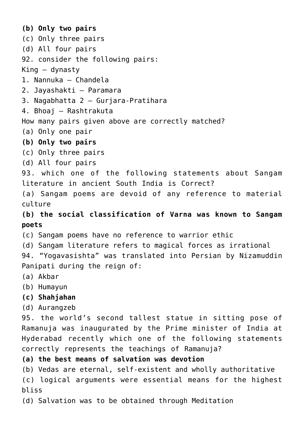**(b) Only two pairs** (c) Only three pairs (d) All four pairs 92. consider the following pairs: King – dynasty 1. Nannuka – Chandela 2. Jayashakti – Paramara 3. Nagabhatta 2 – Gurjara-Pratihara 4. Bhoaj – Rashtrakuta How many pairs given above are correctly matched? (a) Only one pair **(b) Only two pairs** (c) Only three pairs (d) All four pairs 93. which one of the following statements about Sangam literature in ancient South India is Correct? (a) Sangam poems are devoid of any reference to material culture **(b) the social classification of Varna was known to Sangam poets** (c) Sangam poems have no reference to warrior ethic (d) Sangam literature refers to magical forces as irrational 94. "Yogavasishta" was translated into Persian by Nizamuddin Panipati during the reign of: (a) Akbar (b) Humayun **(c) Shahjahan** (d) Aurangzeb 95. the world's second tallest statue in sitting pose of Ramanuja was inaugurated by the Prime minister of India at Hyderabad recently which one of the following statements correctly represents the teachings of Ramanuja? **(a) the best means of salvation was devotion** (b) Vedas are eternal, self-existent and wholly authoritative (c) logical arguments were essential means for the highest bliss

(d) Salvation was to be obtained through Meditation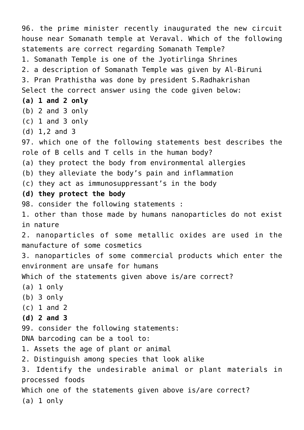96. the prime minister recently inaugurated the new circuit house near Somanath temple at Veraval. Which of the following statements are correct regarding Somanath Temple? 1. Somanath Temple is one of the Jyotirlinga Shrines 2. a description of Somanath Temple was given by Al-Biruni 3. Pran Prathistha was done by president S.Radhakrishan Select the correct answer using the code given below: **(a) 1 and 2 only** (b) 2 and 3 only (c) 1 and 3 only (d) 1,2 and 3 97. which one of the following statements best describes the role of B cells and T cells in the human body? (a) they protect the body from environmental allergies (b) they alleviate the body's pain and inflammation (c) they act as immunosuppressant's in the body **(d) they protect the body** 98. consider the following statements : 1. other than those made by humans nanoparticles do not exist in nature 2. nanoparticles of some metallic oxides are used in the manufacture of some cosmetics 3. nanoparticles of some commercial products which enter the environment are unsafe for humans Which of the statements given above is/are correct? (a) 1 only (b) 3 only (c) 1 and 2 **(d) 2 and 3** 99. consider the following statements: DNA barcoding can be a tool to: 1. Assets the age of plant or animal 2. Distinguish among species that look alike 3. Identify the undesirable animal or plant materials in processed foods Which one of the statements given above is/are correct? (a) 1 only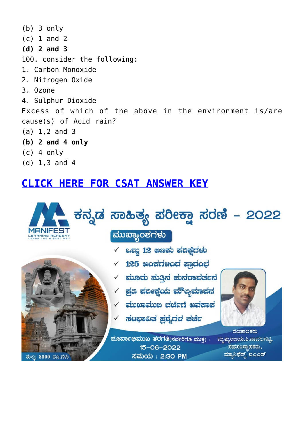(b) 3 only (c) 1 and 2 **(d) 2 and 3** 100. consider the following: 1. Carbon Monoxide 2. Nitrogen Oxide 3. Ozone 4. Sulphur Dioxide Excess of which of the above in the environment is/are cause(s) of Acid rain? (a) 1,2 and 3 **(b) 2 and 4 only** (c) 4 only (d) 1,3 and 4

### **[CLICK HERE FOR CSAT ANSWER KEY](https://journalsofindia.com/wp-content/uploads/2022/06/CSP-2022-CSAT-paper-Ans-Key-final-16-6-2022.pdf)**